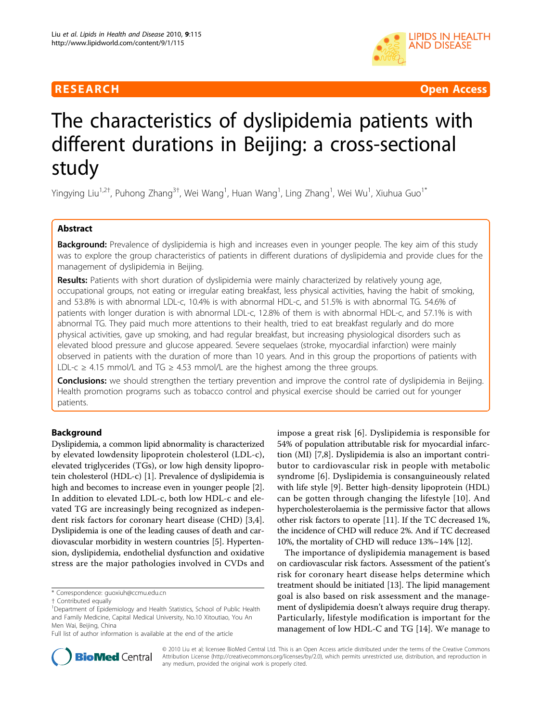

**RESEARCH Open Access Contract Contract Contract Contract Contract Contract Contract Contract Contract Contract Contract Contract Contract Contract Contract Contract Contract Contract Contract Contract Contract Contract** 

# The characteristics of dyslipidemia patients with different durations in Beijing: a cross-sectional study

Yingying Liu<sup>1,2†</sup>, Puhong Zhang<sup>3†</sup>, Wei Wang<sup>1</sup>, Huan Wang<sup>1</sup>, Ling Zhang<sup>1</sup>, Wei Wu<sup>1</sup>, Xiuhua Guo<sup>1\*</sup>

# Abstract

Background: Prevalence of dyslipidemia is high and increases even in younger people. The key aim of this study was to explore the group characteristics of patients in different durations of dyslipidemia and provide clues for the management of dyslipidemia in Beijing.

Results: Patients with short duration of dyslipidemia were mainly characterized by relatively young age, occupational groups, not eating or irregular eating breakfast, less physical activities, having the habit of smoking, and 53.8% is with abnormal LDL-c, 10.4% is with abnormal HDL-c, and 51.5% is with abnormal TG. 54.6% of patients with longer duration is with abnormal LDL-c, 12.8% of them is with abnormal HDL-c, and 57.1% is with abnormal TG. They paid much more attentions to their health, tried to eat breakfast regularly and do more physical activities, gave up smoking, and had regular breakfast, but increasing physiological disorders such as elevated blood pressure and glucose appeared. Severe sequelaes (stroke, myocardial infarction) were mainly observed in patients with the duration of more than 10 years. And in this group the proportions of patients with LDL-c  $\geq$  4.15 mmol/L and TG  $\geq$  4.53 mmol/L are the highest among the three groups.

**Conclusions:** we should strengthen the tertiary prevention and improve the control rate of dyslipidemia in Beijing. Health promotion programs such as tobacco control and physical exercise should be carried out for younger patients.

# Background

Dyslipidemia, a common lipid abnormality is characterized by elevated lowdensity lipoprotein cholesterol (LDL-c), elevated triglycerides (TGs), or low high density lipoprotein cholesterol (HDL-c) [[1](#page-6-0)]. Prevalence of dyslipidemia is high and becomes to increase even in younger people [\[2](#page-6-0)]. In addition to elevated LDL-c, both low HDL-c and elevated TG are increasingly being recognized as independent risk factors for coronary heart disease (CHD) [[3,4](#page-6-0)]. Dyslipidemia is one of the leading causes of death and cardiovascular morbidity in western countries [\[5\]](#page-6-0). Hypertension, dyslipidemia, endothelial dysfunction and oxidative stress are the major pathologies involved in CVDs and impose a great risk [[6\]](#page-6-0). Dyslipidemia is responsible for 54% of population attributable risk for myocardial infarction (MI) [[7,8\]](#page-6-0). Dyslipidemia is also an important contributor to cardiovascular risk in people with metabolic syndrome [\[6](#page-6-0)]. Dyslipidemia is consanguineously related with life style [[9\]](#page-6-0). Better high-density lipoprotein (HDL) can be gotten through changing the lifestyle [\[10\]](#page-6-0). And hypercholesterolaemia is the permissive factor that allows other risk factors to operate [[11\]](#page-6-0). If the TC decreased 1%, the incidence of CHD will reduce 2%. And if TC decreased 10%, the mortality of CHD will reduce 13%~14% [[12](#page-6-0)].

The importance of dyslipidemia management is based on cardiovascular risk factors. Assessment of the patient's risk for coronary heart disease helps determine which treatment should be initiated [[13](#page-6-0)]. The lipid management goal is also based on risk assessment and the management of dyslipidemia doesn't always require drug therapy. Particularly, lifestyle modification is important for the management of low HDL-C and TG [\[14](#page-6-0)]. We manage to



© 2010 Liu et al; licensee BioMed Central Ltd. This is an Open Access article distributed under the terms of the Creative Commons Attribution License [\(http://creativecommons.org/licenses/by/2.0](http://creativecommons.org/licenses/by/2.0)), which permits unrestricted use, distribution, and reproduction in any medium, provided the original work is properly cited.

<sup>\*</sup> Correspondence: [guoxiuh@ccmu.edu.cn](mailto:guoxiuh@ccmu.edu.cn)

<sup>†</sup> Contributed equally <sup>1</sup>

<sup>&</sup>lt;sup>1</sup>Department of Epidemiology and Health Statistics, School of Public Health and Family Medicine, Capital Medical University, No.10 Xitoutiao, You An Men Wai, Beijing, China

Full list of author information is available at the end of the article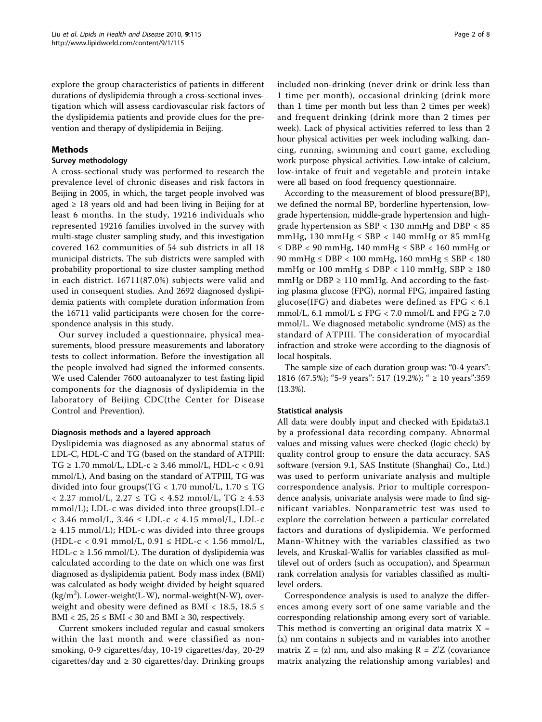explore the group characteristics of patients in different durations of dyslipidemia through a cross-sectional investigation which will assess cardiovascular risk factors of the dyslipidemia patients and provide clues for the prevention and therapy of dyslipidemia in Beijing.

# Methods

#### Survey methodology

A cross-sectional study was performed to research the prevalence level of chronic diseases and risk factors in Beijing in 2005, in which, the target people involved was aged  $\geq$  18 years old and had been living in Beijing for at least 6 months. In the study, 19216 individuals who represented 19216 families involved in the survey with multi-stage cluster sampling study, and this investigation covered 162 communities of 54 sub districts in all 18 municipal districts. The sub districts were sampled with probability proportional to size cluster sampling method in each district. 16711(87.0%) subjects were valid and used in consequent studies. And 2692 diagnosed dyslipidemia patients with complete duration information from the 16711 valid participants were chosen for the correspondence analysis in this study.

Our survey included a questionnaire, physical measurements, blood pressure measurements and laboratory tests to collect information. Before the investigation all the people involved had signed the informed consents. We used Calender 7600 autoanalyzer to test fasting lipid components for the diagnosis of dyslipidemia in the laboratory of Beijing CDC(the Center for Disease Control and Prevention).

#### Diagnosis methods and a layered approach

Dyslipidemia was diagnosed as any abnormal status of LDL-C, HDL-C and TG (based on the standard of ATPIII: TG  $\geq$  1.70 mmol/L, LDL-c  $\geq$  3.46 mmol/L, HDL-c < 0.91 mmol/L), And basing on the standard of ATPIII, TG was divided into four groups(TG <  $1.70 \text{ mmol/L}$ ,  $1.70 \leq T \text{G}$ < 2.27 mmol/L, 2.27 ≤ TG < 4.52 mmol/L, TG ≥ 4.53 mmol/L); LDL-c was divided into three groups(LDL-c < 3.46 mmol/L, 3.46 ≤ LDL-c < 4.15 mmol/L, LDL-c  $\geq$  4.15 mmol/L); HDL-c was divided into three groups  $(HDL-c < 0.91$  mmol/L,  $0.91 \leq HDL-c < 1.56$  mmol/L, HDL-c  $\geq$  1.56 mmol/L). The duration of dyslipidemia was calculated according to the date on which one was first diagnosed as dyslipidemia patient. Body mass index (BMI) was calculated as body weight divided by height squared (kg/m<sup>2</sup>). Lower-weight(L-W), normal-weight(N-W), overweight and obesity were defined as BMI < 18.5, 18.5  $\le$ BMI <  $25$ ,  $25 \leq$  BMI < 30 and BMI  $\geq$  30, respectively.

Current smokers included regular and casual smokers within the last month and were classified as nonsmoking, 0-9 cigarettes/day, 10-19 cigarettes/day, 20-29 cigarettes/day and  $\geq 30$  cigarettes/day. Drinking groups included non-drinking (never drink or drink less than 1 time per month), occasional drinking (drink more than 1 time per month but less than 2 times per week) and frequent drinking (drink more than 2 times per week). Lack of physical activities referred to less than 2 hour physical activities per week including walking, dancing, running, swimming and court game, excluding work purpose physical activities. Low-intake of calcium, low-intake of fruit and vegetable and protein intake were all based on food frequency questionnaire.

According to the measurement of blood pressure(BP), we defined the normal BP, borderline hypertension, lowgrade hypertension, middle-grade hypertension and highgrade hypertension as SBP < 130 mmHg and DBP < 85 mmHg, 130 mmHg  $\leq$  SBP  $<$  140 mmHg or 85 mmHg ≤ DBP < 90 mmHg, 140 mmHg ≤ SBP < 160 mmHg or 90 mmHg ≤ DBP < 100 mmHg, 160 mmHg ≤ SBP < 180 mmHg or 100 mmHg  $\leq$  DBP  $<$  110 mmHg, SBP  $\geq$  180 mmHg or  $DBP \ge 110$  mmHg. And according to the fasting plasma glucose (FPG), normal FPG, impaired fasting glucose(IFG) and diabetes were defined as FPG < 6.1 mmol/L, 6.1 mmol/L  $\leq$  FPG  $<$  7.0 mmol/L and FPG  $\geq$  7.0 mmol/L. We diagnosed metabolic syndrome (MS) as the standard of ATPIII. The consideration of myocardial infraction and stroke were according to the diagnosis of local hospitals.

The sample size of each duration group was: "0-4 years": 1816 (67.5%); "5-9 years": 517 (19.2%); " ≥ 10 years":359 (13.3%).

# Statistical analysis

All data were doubly input and checked with Epidata3.1 by a professional data recording company. Abnormal values and missing values were checked (logic check) by quality control group to ensure the data accuracy. SAS software (version 9.1, SAS Institute (Shanghai) Co., Ltd.) was used to perform univariate analysis and multiple correspondence analysis. Prior to multiple correspondence analysis, univariate analysis were made to find significant variables. Nonparametric test was used to explore the correlation between a particular correlated factors and durations of dyslipidemia. We performed Mann-Whitney with the variables classified as two levels, and Kruskal-Wallis for variables classified as multilevel out of orders (such as occupation), and Spearman rank correlation analysis for variables classified as multilevel orders.

Correspondence analysis is used to analyze the differences among every sort of one same variable and the corresponding relationship among every sort of variable. This method is converting an original data matrix  $X =$ (x) nm contains n subjects and m variables into another matrix  $Z = (z)$  nm, and also making  $R = Z'Z$  (covariance matrix analyzing the relationship among variables) and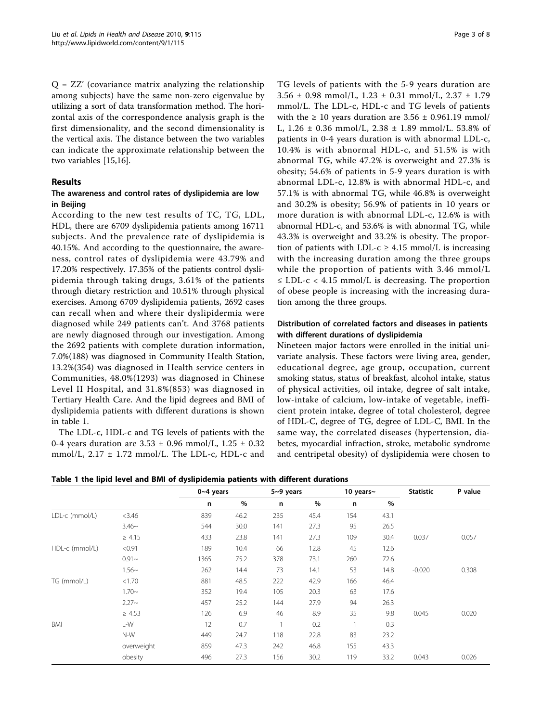$Q = ZZ'$  (covariance matrix analyzing the relationship among subjects) have the same non-zero eigenvalue by utilizing a sort of data transformation method. The horizontal axis of the correspondence analysis graph is the first dimensionality, and the second dimensionality is the vertical axis. The distance between the two variables can indicate the approximate relationship between the two variables [[15,16](#page-6-0)].

# Results

# The awareness and control rates of dyslipidemia are low in Beijing

According to the new test results of TC, TG, LDL, HDL, there are 6709 dyslipidemia patients among 16711 subjects. And the prevalence rate of dyslipidemia is 40.15%. And according to the questionnaire, the awareness, control rates of dyslipidemia were 43.79% and 17.20% respectively. 17.35% of the patients control dyslipidemia through taking drugs, 3.61% of the patients through dietary restriction and 10.51% through physical exercises. Among 6709 dyslipidemia patients, 2692 cases can recall when and where their dyslipidermia were diagnosed while 249 patients can't. And 3768 patients are newly diagnosed through our investigation. Among the 2692 patients with complete duration information, 7.0%(188) was diagnosed in Community Health Station, 13.2%(354) was diagnosed in Health service centers in Communities, 48.0%(1293) was diagnosed in Chinese Level II Hospital, and 31.8%(853) was diagnosed in Tertiary Health Care. And the lipid degrees and BMI of dyslipidemia patients with different durations is shown in table 1.

The LDL-c, HDL-c and TG levels of patients with the 0-4 years duration are  $3.53 \pm 0.96$  mmol/L,  $1.25 \pm 0.32$ mmol/L,  $2.17 \pm 1.72$  mmol/L. The LDL-c, HDL-c and TG levels of patients with the 5-9 years duration are  $3.56 \pm 0.98$  mmol/L,  $1.23 \pm 0.31$  mmol/L,  $2.37 \pm 1.79$ mmol/L. The LDL-c, HDL-c and TG levels of patients with the  $\geq 10$  years duration are 3.56  $\pm$  0.961.19 mmol/ L, 1.26 ± 0.36 mmol/L, 2.38 ± 1.89 mmol/L. 53.8% of patients in 0-4 years duration is with abnormal LDL-c, 10.4% is with abnormal HDL-c, and 51.5% is with abnormal TG, while 47.2% is overweight and 27.3% is obesity; 54.6% of patients in 5-9 years duration is with abnormal LDL-c, 12.8% is with abnormal HDL-c, and 57.1% is with abnormal TG, while 46.8% is overweight and 30.2% is obesity; 56.9% of patients in 10 years or more duration is with abnormal LDL-c, 12.6% is with abnormal HDL-c, and 53.6% is with abnormal TG, while 43.3% is overweight and 33.2% is obesity. The proportion of patients with LDL-c  $\geq$  4.15 mmol/L is increasing with the increasing duration among the three groups while the proportion of patients with 3.46 mmol/L ≤ LDL-c < 4.15 mmol/L is decreasing. The proportion of obese people is increasing with the increasing duration among the three groups.

# Distribution of correlated factors and diseases in patients with different durations of dyslipidemia

Nineteen major factors were enrolled in the initial univariate analysis. These factors were living area, gender, educational degree, age group, occupation, current smoking status, status of breakfast, alcohol intake, status of physical activities, oil intake, degree of salt intake, low-intake of calcium, low-intake of vegetable, inefficient protein intake, degree of total cholesterol, degree of HDL-C, degree of TG, degree of LDL-C, BMI. In the same way, the correlated diseases (hypertension, diabetes, myocardial infraction, stroke, metabolic syndrome and centripetal obesity) of dyslipidemia were chosen to

Table 1 the lipid level and BMI of dyslipidemia patients with different durations

|                |             | $0 - 4$ years |      | $5-9$ years |      | 10 years~ |      | <b>Statistic</b> | P value |
|----------------|-------------|---------------|------|-------------|------|-----------|------|------------------|---------|
|                |             | n             | $\%$ | n           | $\%$ | n         | %    |                  |         |
| LDL-c (mmol/L) | < 3.46      | 839           | 46.2 | 235         | 45.4 | 154       | 43.1 |                  |         |
|                | $3.46-$     | 544           | 30.0 | 141         | 27.3 | 95        | 26.5 |                  |         |
|                | $\geq 4.15$ | 433           | 23.8 | 141         | 27.3 | 109       | 30.4 | 0.037            | 0.057   |
| HDL-c (mmol/L) | < 0.91      | 189           | 10.4 | 66          | 12.8 | 45        | 12.6 |                  |         |
|                | $0.91 -$    | 1365          | 75.2 | 378         | 73.1 | 260       | 72.6 |                  |         |
|                | $1.56-$     | 262           | 14.4 | 73          | 14.1 | 53        | 14.8 | $-0.020$         | 0.308   |
| TG (mmol/L)    | < 1.70      | 881           | 48.5 | 222         | 42.9 | 166       | 46.4 |                  |         |
|                | $1.70-$     | 352           | 19.4 | 105         | 20.3 | 63        | 17.6 |                  |         |
|                | $2.27 -$    | 457           | 25.2 | 144         | 27.9 | 94        | 26.3 |                  |         |
|                | $\geq 4.53$ | 126           | 6.9  | 46          | 8.9  | 35        | 9.8  | 0.045            | 0.020   |
| <b>BMI</b>     | L-W         | 12            | 0.7  |             | 0.2  |           | 0.3  |                  |         |
|                | $N-W$       | 449           | 24.7 | 118         | 22.8 | 83        | 23.2 |                  |         |
|                | overweight  | 859           | 47.3 | 242         | 46.8 | 155       | 43.3 |                  |         |
|                | obesity     | 496           | 27.3 | 156         | 30.2 | 119       | 33.2 | 0.043            | 0.026   |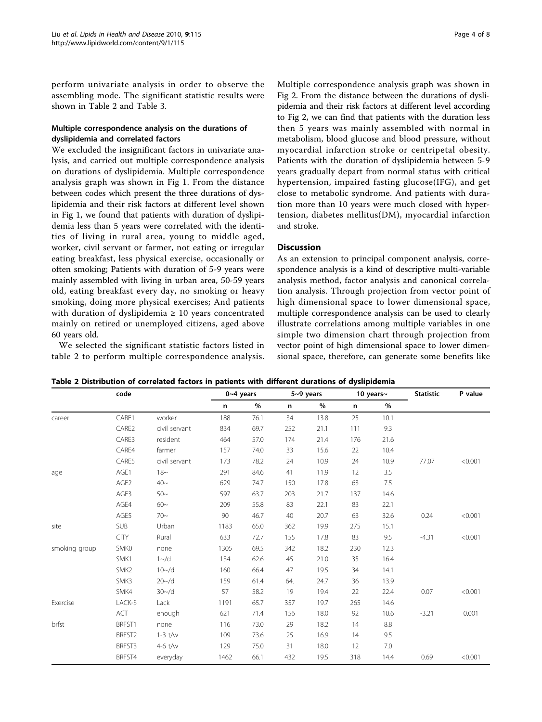perform univariate analysis in order to observe the assembling mode. The significant statistic results were shown in Table 2 and Table [3.](#page-4-0)

# Multiple correspondence analysis on the durations of dyslipidemia and correlated factors

We excluded the insignificant factors in univariate analysis, and carried out multiple correspondence analysis on durations of dyslipidemia. Multiple correspondence analysis graph was shown in Fig [1.](#page-4-0) From the distance between codes which present the three durations of dyslipidemia and their risk factors at different level shown in Fig [1](#page-4-0), we found that patients with duration of dyslipidemia less than 5 years were correlated with the identities of living in rural area, young to middle aged, worker, civil servant or farmer, not eating or irregular eating breakfast, less physical exercise, occasionally or often smoking; Patients with duration of 5-9 years were mainly assembled with living in urban area, 50-59 years old, eating breakfast every day, no smoking or heavy smoking, doing more physical exercises; And patients with duration of dyslipidemia  $\geq$  10 years concentrated mainly on retired or unemployed citizens, aged above 60 years old.

We selected the significant statistic factors listed in table 2 to perform multiple correspondence analysis. Multiple correspondence analysis graph was shown in Fig [2](#page-5-0). From the distance between the durations of dyslipidemia and their risk factors at different level according to Fig [2,](#page-5-0) we can find that patients with the duration less then 5 years was mainly assembled with normal in metabolism, blood glucose and blood pressure, without myocardial infarction stroke or centripetal obesity. Patients with the duration of dyslipidemia between 5-9 years gradually depart from normal status with critical hypertension, impaired fasting glucose(IFG), and get close to metabolic syndrome. And patients with duration more than 10 years were much closed with hypertension, diabetes mellitus(DM), myocardial infarction and stroke.

# **Discussion**

As an extension to principal component analysis, correspondence analysis is a kind of descriptive multi-variable analysis method, factor analysis and canonical correlation analysis. Through projection from vector point of high dimensional space to lower dimensional space, multiple correspondence analysis can be used to clearly illustrate correlations among multiple variables in one simple two dimension chart through projection from vector point of high dimensional space to lower dimensional space, therefore, can generate some benefits like

Table 2 Distribution of correlated factors in patients with different durations of dyslipidemia

|               | code             |               | $0 - 4$ years |      | $5-9$ years |      | 10 years~ |         | <b>Statistic</b> | P value |
|---------------|------------------|---------------|---------------|------|-------------|------|-----------|---------|------------------|---------|
|               |                  |               | n             | $\%$ | n           | $\%$ | n         | $\%$    |                  |         |
| career        | CARE1            | worker        | 188           | 76.1 | 34          | 13.8 | 25        | 10.1    |                  |         |
|               | CARE2            | civil servant | 834           | 69.7 | 252         | 21.1 | 111       | 9.3     |                  |         |
|               | CARE3            | resident      | 464           | 57.0 | 174         | 21.4 | 176       | 21.6    |                  |         |
|               | CARE4            | farmer        | 157           | 74.0 | 33          | 15.6 | 22        | 10.4    |                  |         |
|               | CARE5            | civil servant | 173           | 78.2 | 24          | 10.9 | 24        | 10.9    | 77.07            | < 0.001 |
| age           | AGE1             | $18-$         | 291           | 84.6 | 41          | 11.9 | 12        | 3.5     |                  |         |
|               | AGE2             | $40-$         | 629           | 74.7 | 150         | 17.8 | 63        | 7.5     |                  |         |
|               | AGE3             | $50-$         | 597           | 63.7 | 203         | 21.7 | 137       | 14.6    |                  |         |
|               | AGE4             | $60-$         | 209           | 55.8 | 83          | 22.1 | 83        | 22.1    |                  |         |
|               | AGE5             | $70-$         | 90            | 46.7 | 40          | 20.7 | 63        | 32.6    | 0.24             | < 0.001 |
| site          | <b>SUB</b>       | Urban         | 1183          | 65.0 | 362         | 19.9 | 275       | 15.1    |                  |         |
|               | <b>CITY</b>      | Rural         | 633           | 72.7 | 155         | 17.8 | 83        | 9.5     | $-4.31$          | < 0.001 |
| smoking group | <b>SMKO</b>      | none          | 1305          | 69.5 | 342         | 18.2 | 230       | 12.3    |                  |         |
|               | SMK1             | $1 - / d$     | 134           | 62.6 | 45          | 21.0 | 35        | 16.4    |                  |         |
|               | SMK <sub>2</sub> | $10 - / d$    | 160           | 66.4 | 47          | 19.5 | 34        | 14.1    |                  |         |
|               | SMK3             | $20 - / d$    | 159           | 61.4 | 64.         | 24.7 | 36        | 13.9    |                  |         |
|               | SMK4             | $30 - / d$    | 57            | 58.2 | 19          | 19.4 | 22        | 22.4    | 0.07             | < 0.001 |
| Exercise      | LACK-S           | Lack          | 1191          | 65.7 | 357         | 19.7 | 265       | 14.6    |                  |         |
|               | ACT              | enough        | 621           | 71.4 | 156         | 18.0 | 92        | 10.6    | $-3.21$          | 0.001   |
| brfst         | BRFST1           | none          | 116           | 73.0 | 29          | 18.2 | 14        | $8.8\,$ |                  |         |
|               | BRFST2           | $1-3$ t/w     | 109           | 73.6 | 25          | 16.9 | 14        | 9.5     |                  |         |
|               | BRFST3           | 4-6 t/w       | 129           | 75.0 | 31          | 18.0 | 12        | 7.0     |                  |         |
|               | BRFST4           | everyday      | 1462          | 66.1 | 432         | 19.5 | 318       | 14.4    | 0.69             | < 0.001 |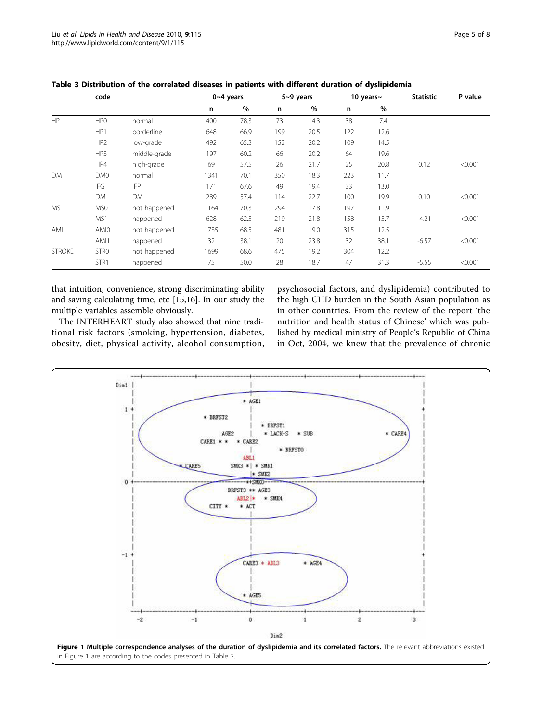| code          |                  |              | $0 - 4$ years |      | $5-9$ years |      | 10 years~ |      | <b>Statistic</b> | P value |
|---------------|------------------|--------------|---------------|------|-------------|------|-----------|------|------------------|---------|
|               |                  |              | n             | $\%$ | n           | %    | n         | $\%$ |                  |         |
| HP            | HP <sub>0</sub>  | normal       | 400           | 78.3 | 73          | 14.3 | 38        | 7.4  |                  |         |
|               | HP <sub>1</sub>  | borderline   | 648           | 66.9 | 199         | 20.5 | 122       | 12.6 |                  |         |
|               | HP <sub>2</sub>  | low-grade    | 492           | 65.3 | 152         | 20.2 | 109       | 14.5 |                  |         |
|               | HP3              | middle-grade | 197           | 60.2 | 66          | 20.2 | 64        | 19.6 |                  |         |
|               | HP4              | high-grade   | 69            | 57.5 | 26          | 21.7 | 25        | 20.8 | 0.12             | < 0.001 |
| <b>DM</b>     | DM0              | normal       | 1341          | 70.1 | 350         | 18.3 | 223       | 11.7 |                  |         |
|               | IFG              | <b>IFP</b>   | 171           | 67.6 | 49          | 19.4 | 33        | 13.0 |                  |         |
|               | <b>DM</b>        | <b>DM</b>    | 289           | 57.4 | 114         | 22.7 | 100       | 19.9 | 0.10             | < 0.001 |
| <b>MS</b>     | MS0              | not happened | 1164          | 70.3 | 294         | 17.8 | 197       | 11.9 |                  |         |
|               | MS1              | happened     | 628           | 62.5 | 219         | 21.8 | 158       | 15.7 | $-4.21$          | < 0.001 |
| AMI           | AMI0             | not happened | 1735          | 68.5 | 481         | 19.0 | 315       | 12.5 |                  |         |
|               | AMI1             | happened     | 32            | 38.1 | 20          | 23.8 | 32        | 38.1 | $-6.57$          | < 0.001 |
| <b>STROKE</b> | STR <sub>0</sub> | not happened | 1699          | 68.6 | 475         | 19.2 | 304       | 12.2 |                  |         |
|               | STR1             | happened     | 75            | 50.0 | 28          | 18.7 | 47        | 31.3 | $-5.55$          | < 0.001 |

<span id="page-4-0"></span>Table 3 Distribution of the correlated diseases in patients with different duration of dyslipidemia

that intuition, convenience, strong discriminating ability and saving calculating time, etc [[15,16\]](#page-6-0). In our study the multiple variables assemble obviously.

psychosocial factors, and dyslipidemia) contributed to the high CHD burden in the South Asian population as in other countries. From the review of the report 'the nutrition and health status of Chinese' which was published by medical ministry of People's Republic of China in Oct, 2004, we knew that the prevalence of chronic

The INTERHEART study also showed that nine traditional risk factors (smoking, hypertension, diabetes, obesity, diet, physical activity, alcohol consumption,

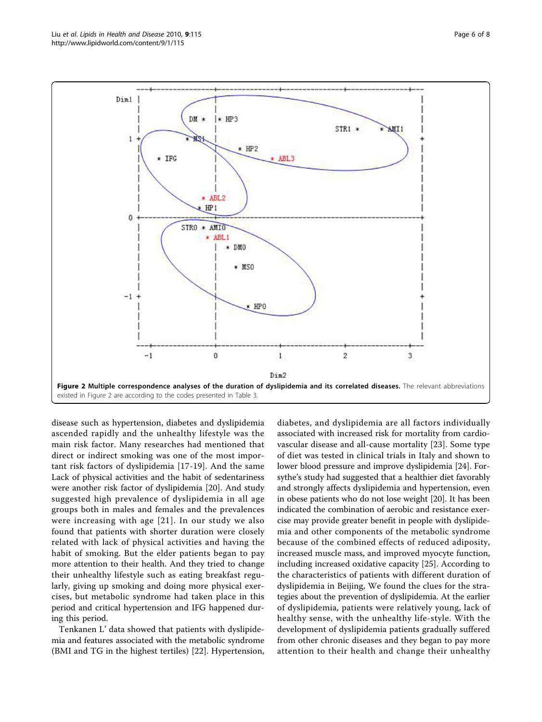<span id="page-5-0"></span>

disease such as hypertension, diabetes and dyslipidemia ascended rapidly and the unhealthy lifestyle was the main risk factor. Many researches had mentioned that direct or indirect smoking was one of the most important risk factors of dyslipidemia [\[17-19](#page-7-0)]. And the same Lack of physical activities and the habit of sedentariness were another risk factor of dyslipidemia [\[20\]](#page-7-0). And study suggested high prevalence of dyslipidemia in all age groups both in males and females and the prevalences were increasing with age [[21](#page-7-0)]. In our study we also found that patients with shorter duration were closely related with lack of physical activities and having the habit of smoking. But the elder patients began to pay more attention to their health. And they tried to change their unhealthy lifestyle such as eating breakfast regularly, giving up smoking and doing more physical exercises, but metabolic syndrome had taken place in this period and critical hypertension and IFG happened during this period.

Tenkanen L' data showed that patients with dyslipidemia and features associated with the metabolic syndrome (BMI and TG in the highest tertiles) [[22\]](#page-7-0). Hypertension,

diabetes, and dyslipidemia are all factors individually associated with increased risk for mortality from cardiovascular disease and all-cause mortality [\[23](#page-7-0)]. Some type of diet was tested in clinical trials in Italy and shown to lower blood pressure and improve dyslipidemia [\[24](#page-7-0)]. Forsythe's study had suggested that a healthier diet favorably and strongly affects dyslipidemia and hypertension, even in obese patients who do not lose weight [\[20\]](#page-7-0). It has been indicated the combination of aerobic and resistance exercise may provide greater benefit in people with dyslipidemia and other components of the metabolic syndrome because of the combined effects of reduced adiposity, increased muscle mass, and improved myocyte function, including increased oxidative capacity [[25](#page-7-0)]. According to the characteristics of patients with different duration of dyslipidemia in Beijing, We found the clues for the strategies about the prevention of dyslipidemia. At the earlier of dyslipidemia, patients were relatively young, lack of healthy sense, with the unhealthy life-style. With the development of dyslipidemia patients gradually suffered from other chronic diseases and they began to pay more attention to their health and change their unhealthy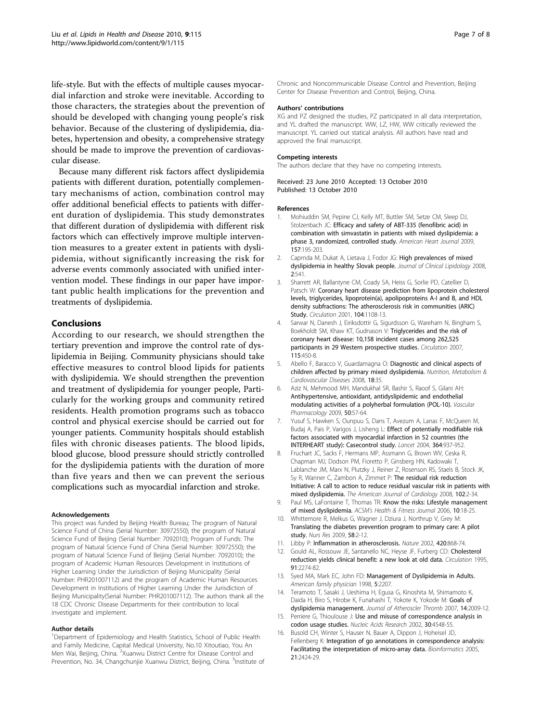<span id="page-6-0"></span>life-style. But with the effects of multiple causes myocardial infarction and stroke were inevitable. According to those characters, the strategies about the prevention of should be developed with changing young people's risk behavior. Because of the clustering of dyslipidemia, diabetes, hypertension and obesity, a comprehensive strategy should be made to improve the prevention of cardiovascular disease.

Because many different risk factors affect dyslipidemia patients with different duration, potentially complementary mechanisms of action, combination control may offer additional beneficial effects to patients with different duration of dyslipidemia. This study demonstrates that different duration of dyslipidemia with different risk factors which can effectively improve multiple intervention measures to a greater extent in patients with dyslipidemia, without significantly increasing the risk for adverse events commonly associated with unified intervention model. These findings in our paper have important public health implications for the prevention and treatments of dyslipidemia.

# Conclusions

According to our research, we should strengthen the tertiary prevention and improve the control rate of dyslipidemia in Beijing. Community physicians should take effective measures to control blood lipids for patients with dyslipidemia. We should strengthen the prevention and treatment of dyslipidemia for younger people, Particularly for the working groups and community retired residents. Health promotion programs such as tobacco control and physical exercise should be carried out for younger patients. Community hospitals should establish files with chronic diseases patients. The blood lipids, blood glucose, blood pressure should strictly controlled for the dyslipidemia patients with the duration of more than five years and then we can prevent the serious complications such as myocardial infarction and stroke.

#### Acknowledgements

This project was funded by Beijing Health Bureau; The program of Natural Science Fund of China (Serial Number: 30972550); the program of Natural Science Fund of Beijing (Serial Number: 7092010); Program of Funds: The program of Natural Science Fund of China (Serial Number: 30972550); the program of Natural Science Fund of Beijing (Serial Number: 7092010); the program of Academic Human Resources Development in Institutions of Higher Learning Under the Jurisdiction of Beijing Municipality (Serial Number: PHR201007112) and the program of Academic Human Resources Development in Institutions of Higher Learning Under the Jurisdiction of Beijing Municipality(Serial Number: PHR201007112). The authors thank all the 18 CDC Chronic Disease Departments for their contribution to local investigate and implement.

#### Author details

<sup>1</sup>Department of Epidemiology and Health Statistics, School of Public Health and Family Medicine, Capital Medical University, No.10 Xitoutiao, You An Men Wai, Beijing, China. <sup>2</sup>Xuanwu District Centre for Disease Control and Prevention, No. 34, Changchunjie Xuanwu District, Beijing, China. <sup>3</sup>Institute of Chronic and Noncommunicable Disease Control and Prevention, Beijing Center for Disease Prevention and Control, Beijing, China.

#### Authors' contributions

XG and PZ designed the studies, PZ participated in all data interpretation, and YL drafted the manuscript. WW, LZ, HW, WW critically reviewed the manuscript. YL carried out statical analysis. All authors have read and approved the final manuscript.

#### Competing interests

The authors declare that they have no competing interests.

Received: 23 June 2010 Accepted: 13 October 2010 Published: 13 October 2010

#### References

- 1. Mohiuddin SM, Pepine CJ, Kelly MT, Buttler SM, Setze CM, Sleep DJ, Stolzenbach JC: [Efficacy and safety of ABT-335 \(fenofibric acid\) in](http://www.ncbi.nlm.nih.gov/pubmed/19081418?dopt=Abstract) [combination with simvastatin in patients with mixed dyslipidemia: a](http://www.ncbi.nlm.nih.gov/pubmed/19081418?dopt=Abstract) [phase 3, randomized, controlled study.](http://www.ncbi.nlm.nih.gov/pubmed/19081418?dopt=Abstract) American Heart Journal 2009, 157:195-203.
- 2. Caprnda M, Dukat A, Lietava J, Fodor JG: High prevalences of mixed dyslipidemia in healthy Slovak people. Journal of Clinical Lipidology 2008, 2:541.
- 3. Sharrett AR, Ballantyne CM, Coady SA, Heiss G, Sorlie PD, Catellier D, Patsch W: [Coronary heart disease prediction from lipoprotein cholesterol](http://www.ncbi.nlm.nih.gov/pubmed/11535564?dopt=Abstract) [levels, triglycerides, lipoprotein\(a\), apolipoproteins A-I and B, and HDL](http://www.ncbi.nlm.nih.gov/pubmed/11535564?dopt=Abstract) [density subfractions: The atherosclerosis risk in communities \(ARIC\)](http://www.ncbi.nlm.nih.gov/pubmed/11535564?dopt=Abstract) [Study.](http://www.ncbi.nlm.nih.gov/pubmed/11535564?dopt=Abstract) Circulation 2001, 104:1108-13.
- 4. Sarwar N, Danesh J, Eiriksdottir G, Sigurdsson G, Wareham N, Bingham S, Boekholdt SM, Khaw KT, Gudnason V: [Triglycerides and the risk of](http://www.ncbi.nlm.nih.gov/pubmed/17190864?dopt=Abstract) [coronary heart disease: 10,158 incident cases among 262,525](http://www.ncbi.nlm.nih.gov/pubmed/17190864?dopt=Abstract) [participants in 29 Western prospective studies.](http://www.ncbi.nlm.nih.gov/pubmed/17190864?dopt=Abstract) Circulation 2007, 115:450-8.
- 5. Abello F, Baracco V, Guardamagna O: Diagnostic and clinical aspects of children affected by primary mixed dyslipidemia. Nutrition, Metabolism & Cardiovascular Diseases 2008, 18:35.
- 6. Aziz N, Mehmood MH, Mandukhal SR, Bashir S, Raoof S, Gilani AH: [Antihypertensive, antioxidant, antidyslipidemic and endothelial](http://www.ncbi.nlm.nih.gov/pubmed/18940267?dopt=Abstract) [modulating activities of a polyherbal formulation \(POL-10\).](http://www.ncbi.nlm.nih.gov/pubmed/18940267?dopt=Abstract) Vascular Pharmacology 2009, 50:57-64.
- 7. Yusuf S, Hawken S, Ounpuu S, Dans T, Avezum A, Lanas F, McQueen M, Budaj A, Pais P, Varigos J, Lisheng L: [Effect of potentially modifiable risk](http://www.ncbi.nlm.nih.gov/pubmed/15364185?dopt=Abstract) [factors associated with myocardial infarction in 52 countries \(the](http://www.ncbi.nlm.nih.gov/pubmed/15364185?dopt=Abstract) [INTERHEART study\): Casecontrol study.](http://www.ncbi.nlm.nih.gov/pubmed/15364185?dopt=Abstract) Lancet 2004, 364:937-952.
- 8. Fruchart JC, Sacks F, Hermans MP, Assmann G, Brown WV, Ceska R, Chapman MJ, Dodson PM, Fioretto P, Ginsberg HN, Kadowaki T, Lablanche JM, Marx N, Plutzky J, Reiner Z, Rosenson RS, Staels B, Stock JK, Sy R, Wanner C, Zambon A, Zimmet P: The residual risk reduction Initiative: A call to action to reduce residual vascular risk in patients with mixed dyslipidemia. The American Journal of Cardiology 2008, 102:2-34.
- 9. Paul MS, LaFontaine T, Thomas TR: Know the risks: Lifestyle management of mixed dyslipidemia. ACSM's Health & Fitness Journal 2006, 10:18-25.
- 10. Whittemore R, Melkus G, Wagner J, Dziura J, Northrup V, Grey M: [Translating the diabetes prevention program to primary care: A pilot](http://www.ncbi.nlm.nih.gov/pubmed/19092550?dopt=Abstract) [study.](http://www.ncbi.nlm.nih.gov/pubmed/19092550?dopt=Abstract) Nurs Res 2009, 58:2-12.
- 11. Libby P: [Inflammation in atherosclerosis.](http://www.ncbi.nlm.nih.gov/pubmed/12490960?dopt=Abstract) Nature 2002, 420:868-74.
- 12. Gould AL, Rossouw JE, Santanello NC, Heyse JF, Furberg CD: [Cholesterol](http://www.ncbi.nlm.nih.gov/pubmed/7697857?dopt=Abstract) [reduction yields clinical benefit: a new look at old data.](http://www.ncbi.nlm.nih.gov/pubmed/7697857?dopt=Abstract) Circulation 1995, 91:2274-82.
- 13. Syed MA, Mark EC, John FD: Management of Dyslipidemia in Adults. American family physician 1998, 5:2207.
- 14. Teramoto T, Sasaki J, Ueshima H, Egusa G, Kinoshita M, Shimamoto K, Daida H, Biro S, Hirobe K, Funahashi T, Yokote K, Yokode M: Goals of dyslipidemia management. Journal of Atheroscler Thromb 2007, 14:2009-12.
- 15. Perriere G, Thioulouse J: [Use and misuse of correspondence analysis in](http://www.ncbi.nlm.nih.gov/pubmed/12384602?dopt=Abstract) [codon usage studies.](http://www.ncbi.nlm.nih.gov/pubmed/12384602?dopt=Abstract) Nucleic Acids Research 2002, 30:4548-55.
- 16. Busold CH, Winter S, Hauser N, Bauer A, Dippon J, Hoheisel JD, Fellenberg K: [Integration of go annotations in correspondence analysis:](http://www.ncbi.nlm.nih.gov/pubmed/15746280?dopt=Abstract) [Facilitating the interpretation of micro-array data.](http://www.ncbi.nlm.nih.gov/pubmed/15746280?dopt=Abstract) Bioinformatics 2005, 21:2424-29.